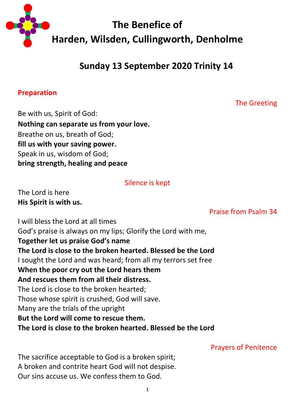

# **Sunday 13 September 2020 Trinity 14**

#### **Preparation**

The Greeting

Be with us, Spirit of God: **Nothing can separate us from your love.** Breathe on us, breath of God; **fill us with your saving power.** Speak in us, wisdom of God; **bring strength, healing and peace**

Silence is kept

The Lord is here **His Spirit is with us.**

Praise from Psalm 34

I will bless the Lord at all times God's praise is always on my lips; Glorify the Lord with me, **Together let us praise God's name The Lord is close to the broken hearted. Blessed be the Lord** I sought the Lord and was heard; from all my terrors set free **When the poor cry out the Lord hears them And rescues them from all their distress.** The Lord is close to the broken hearted; Those whose spirit is crushed, God will save. Many are the trials of the upright **But the Lord will come to rescue them. The Lord is close to the broken hearted. Blessed be the Lord**

Prayers of Penitence

The sacrifice acceptable to God is a broken spirit; A broken and contrite heart God will not despise. Our sins accuse us. We confess them to God.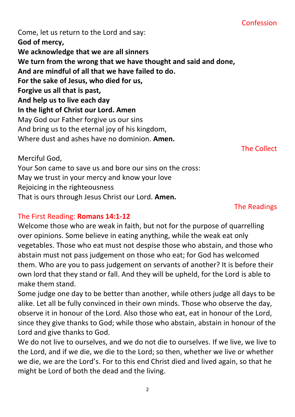#### Confession

Come, let us return to the Lord and say: **God of mercy, We acknowledge that we are all sinners We turn from the wrong that we have thought and said and done, And are mindful of all that we have failed to do. For the sake of Jesus, who died for us, Forgive us all that is past, And help us to live each day In the light of Christ our Lord. Amen** May God our Father forgive us our sins And bring us to the eternal joy of his kingdom, Where dust and ashes have no dominion. **Amen.**

The Collect

Merciful God,

Your Son came to save us and bore our sins on the cross: May we trust in your mercy and know your love Rejoicing in the righteousness That is ours through Jesus Christ our Lord. **Amen.**

#### The Readings

#### The First Reading: **Romans 14:1-12**

Welcome those who are weak in faith, but not for the purpose of quarrelling over opinions. Some believe in eating anything, while the weak eat only vegetables. Those who eat must not despise those who abstain, and those who abstain must not pass judgement on those who eat; for God has welcomed them. Who are you to pass judgement on servants of another? It is before their own lord that they stand or fall. And they will be upheld, for the Lord is able to make them stand.

Some judge one day to be better than another, while others judge all days to be alike. Let all be fully convinced in their own minds. Those who observe the day, observe it in honour of the Lord. Also those who eat, eat in honour of the Lord, since they give thanks to God; while those who abstain, abstain in honour of the Lord and give thanks to God.

We do not live to ourselves, and we do not die to ourselves. If we live, we live to the Lord, and if we die, we die to the Lord; so then, whether we live or whether we die, we are the Lord's. For to this end Christ died and lived again, so that he might be Lord of both the dead and the living.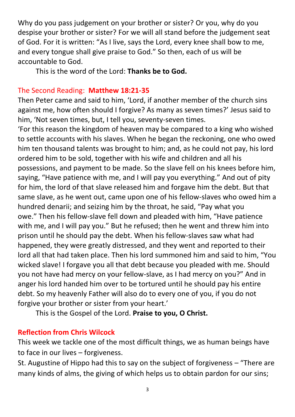Why do you pass judgement on your brother or sister? Or you, why do you despise your brother or sister? For we will all stand before the judgement seat of God. For it is written: "As I live, says the Lord, every knee shall bow to me, and every tongue shall give praise to God." So then, each of us will be accountable to God.

This is the word of the Lord: **Thanks be to God.**

#### The Second Reading: **Matthew 18:21-35**

Then Peter came and said to him, 'Lord, if another member of the church sins against me, how often should I forgive? As many as seven times?' Jesus said to him, 'Not seven times, but, I tell you, seventy-seven times.

'For this reason the kingdom of heaven may be compared to a king who wished to settle accounts with his slaves. When he began the reckoning, one who owed him ten thousand talents was brought to him; and, as he could not pay, his lord ordered him to be sold, together with his wife and children and all his possessions, and payment to be made. So the slave fell on his knees before him, saying, "Have patience with me, and I will pay you everything." And out of pity for him, the lord of that slave released him and forgave him the debt. But that same slave, as he went out, came upon one of his fellow-slaves who owed him a hundred denarii; and seizing him by the throat, he said, "Pay what you owe." Then his fellow-slave fell down and pleaded with him, "Have patience with me, and I will pay you." But he refused; then he went and threw him into prison until he should pay the debt. When his fellow-slaves saw what had happened, they were greatly distressed, and they went and reported to their lord all that had taken place. Then his lord summoned him and said to him, "You wicked slave! I forgave you all that debt because you pleaded with me. Should you not have had mercy on your fellow-slave, as I had mercy on you?" And in anger his lord handed him over to be tortured until he should pay his entire debt. So my heavenly Father will also do to every one of you, if you do not forgive your brother or sister from your heart.'

This is the Gospel of the Lord. **Praise to you, O Christ.**

# **Reflection from Chris Wilcock**

This week we tackle one of the most difficult things, we as human beings have to face in our lives – forgiveness.

St. Augustine of Hippo had this to say on the subject of forgiveness – "There are many kinds of alms, the giving of which helps us to obtain pardon for our sins;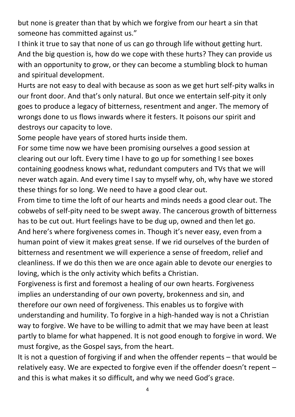but none is greater than that by which we forgive from our heart a sin that someone has committed against us."

I think it true to say that none of us can go through life without getting hurt. And the big question is, how do we cope with these hurts? They can provide us with an opportunity to grow, or they can become a stumbling block to human and spiritual development.

Hurts are not easy to deal with because as soon as we get hurt self-pity walks in our front door. And that's only natural. But once we entertain self-pity it only goes to produce a legacy of bitterness, resentment and anger. The memory of wrongs done to us flows inwards where it festers. It poisons our spirit and destroys our capacity to love.

Some people have years of stored hurts inside them.

For some time now we have been promising ourselves a good session at clearing out our loft. Every time I have to go up for something I see boxes containing goodness knows what, redundant computers and TVs that we will never watch again. And every time I say to myself why, oh, why have we stored these things for so long. We need to have a good clear out.

From time to time the loft of our hearts and minds needs a good clear out. The cobwebs of self-pity need to be swept away. The cancerous growth of bitterness has to be cut out. Hurt feelings have to be dug up, owned and then let go. And here's where forgiveness comes in. Though it's never easy, even from a human point of view it makes great sense. If we rid ourselves of the burden of bitterness and resentment we will experience a sense of freedom, relief and cleanliness. If we do this then we are once again able to devote our energies to loving, which is the only activity which befits a Christian.

Forgiveness is first and foremost a healing of our own hearts. Forgiveness implies an understanding of our own poverty, brokenness and sin, and therefore our own need of forgiveness. This enables us to forgive with understanding and humility. To forgive in a high-handed way is not a Christian way to forgive. We have to be willing to admit that we may have been at least partly to blame for what happened. It is not good enough to forgive in word. We must forgive, as the Gospel says, from the heart.

It is not a question of forgiving if and when the offender repents – that would be relatively easy. We are expected to forgive even if the offender doesn't repent – and this is what makes it so difficult, and why we need God's grace.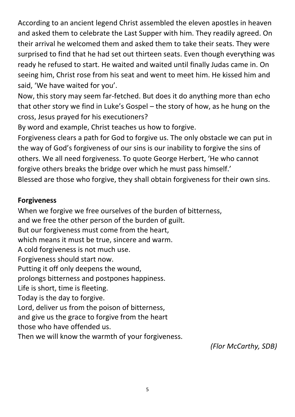According to an ancient legend Christ assembled the eleven apostles in heaven and asked them to celebrate the Last Supper with him. They readily agreed. On their arrival he welcomed them and asked them to take their seats. They were surprised to find that he had set out thirteen seats. Even though everything was ready he refused to start. He waited and waited until finally Judas came in. On seeing him, Christ rose from his seat and went to meet him. He kissed him and said, 'We have waited for you'.

Now, this story may seem far-fetched. But does it do anything more than echo that other story we find in Luke's Gospel – the story of how, as he hung on the cross, Jesus prayed for his executioners?

By word and example, Christ teaches us how to forgive.

Forgiveness clears a path for God to forgive us. The only obstacle we can put in the way of God's forgiveness of our sins is our inability to forgive the sins of others. We all need forgiveness. To quote George Herbert, 'He who cannot forgive others breaks the bridge over which he must pass himself.' Blessed are those who forgive, they shall obtain forgiveness for their own sins.

#### **Forgiveness**

When we forgive we free ourselves of the burden of bitterness, and we free the other person of the burden of guilt. But our forgiveness must come from the heart, which means it must be true, sincere and warm. A cold forgiveness is not much use. Forgiveness should start now. Putting it off only deepens the wound, prolongs bitterness and postpones happiness. Life is short, time is fleeting. Today is the day to forgive. Lord, deliver us from the poison of bitterness, and give us the grace to forgive from the heart those who have offended us. Then we will know the warmth of your forgiveness.

*(Flor McCarthy, SDB)*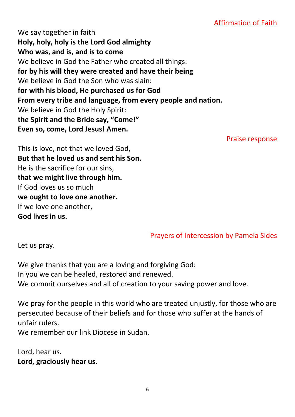# Affirmation of Faith

We say together in faith **Holy, holy, holy is the Lord God almighty Who was, and is, and is to come** We believe in God the Father who created all things: **for by his will they were created and have their being** We believe in God the Son who was slain: **for with his blood, He purchased us for God From every tribe and language, from every people and nation.** We believe in God the Holy Spirit: **the Spirit and the Bride say, "Come!" Even so, come, Lord Jesus! Amen.**

Praise response

This is love, not that we loved God, **But that he loved us and sent his Son.** He is the sacrifice for our sins, **that we might live through him.** If God loves us so much **we ought to love one another.** If we love one another, **God lives in us.**

#### Prayers of Intercession by Pamela Sides

Let us pray.

We give thanks that you are a loving and forgiving God: In you we can be healed, restored and renewed. We commit ourselves and all of creation to your saving power and love.

We pray for the people in this world who are treated unjustly, for those who are persecuted because of their beliefs and for those who suffer at the hands of unfair rulers.

We remember our link Diocese in Sudan.

Lord, hear us. **Lord, graciously hear us.**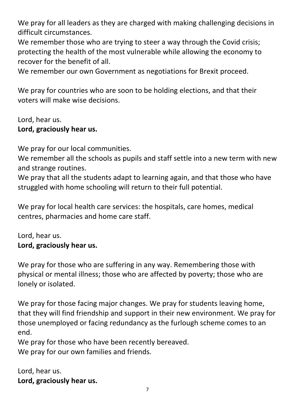We pray for all leaders as they are charged with making challenging decisions in difficult circumstances.

We remember those who are trying to steer a way through the Covid crisis; protecting the health of the most vulnerable while allowing the economy to recover for the benefit of all.

We remember our own Government as negotiations for Brexit proceed.

We pray for countries who are soon to be holding elections, and that their voters will make wise decisions.

# Lord, hear us. **Lord, graciously hear us.**

We pray for our local communities.

We remember all the schools as pupils and staff settle into a new term with new and strange routines.

We pray that all the students adapt to learning again, and that those who have struggled with home schooling will return to their full potential.

We pray for local health care services: the hospitals, care homes, medical centres, pharmacies and home care staff.

Lord, hear us. **Lord, graciously hear us.**

We pray for those who are suffering in any way. Remembering those with physical or mental illness; those who are affected by poverty; those who are lonely or isolated.

We pray for those facing major changes. We pray for students leaving home, that they will find friendship and support in their new environment. We pray for those unemployed or facing redundancy as the furlough scheme comes to an end.

We pray for those who have been recently bereaved. We pray for our own families and friends.

Lord, hear us. **Lord, graciously hear us.**